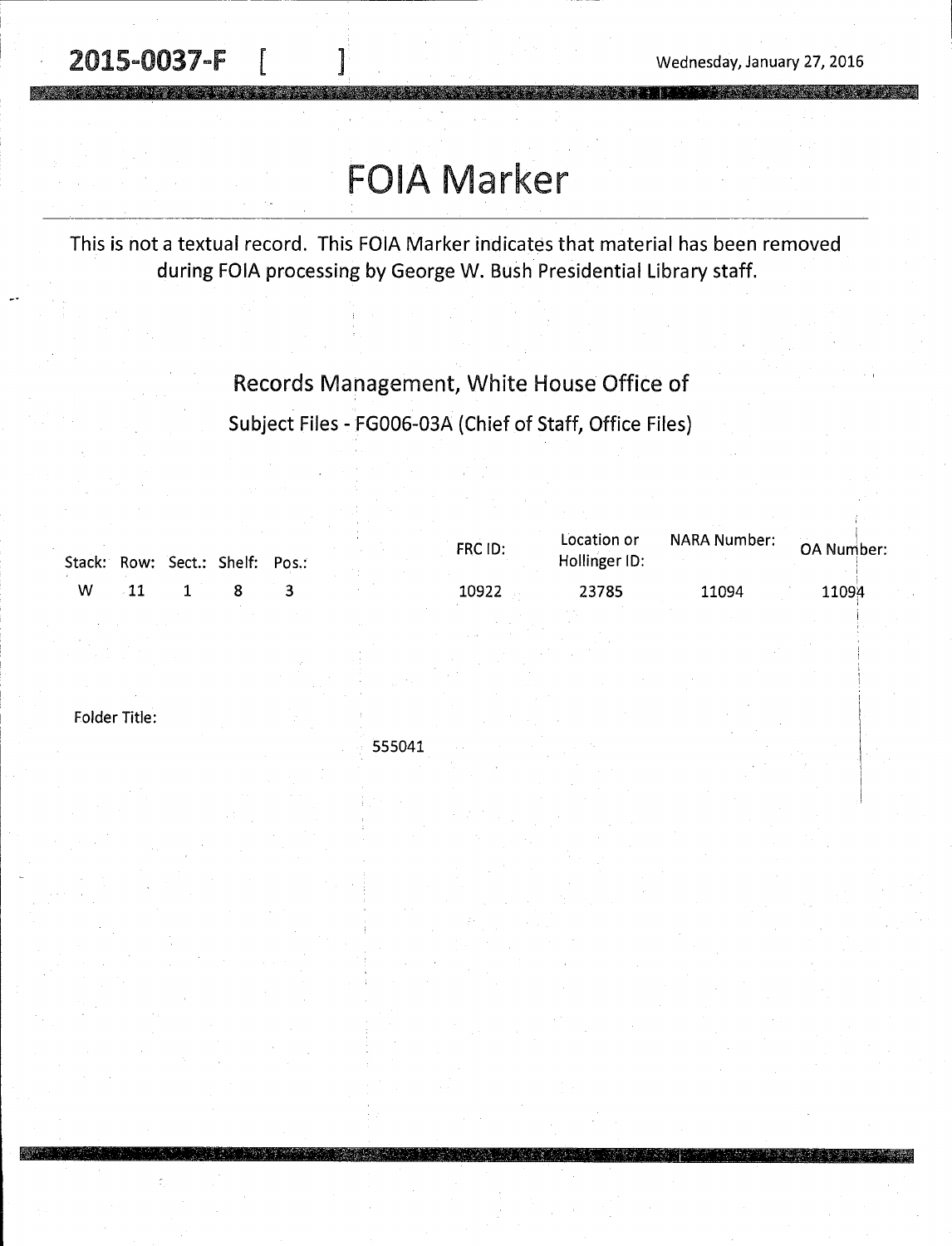2015-0037-F

Wednesday, January 27, 2016

'

# FOIA Marker

This is not a textual record. This FOIA Marker indicates that material has been removed during FOIA processing by George W. Bush Presidential Library staff.

> Records Management, White House Office of Subject Files - FG006-03A (Chief of Staff, Office Files)

|   |  | Stack: Row: Sect.: Shelf: Pos.: |  | FRC ID: | Location or<br>Hollinger ID: | NARA Number: | OA Number: |
|---|--|---------------------------------|--|---------|------------------------------|--------------|------------|
| W |  |                                 |  | 10922   | 23785                        | 11094        | 11094      |

Folder Title:

555041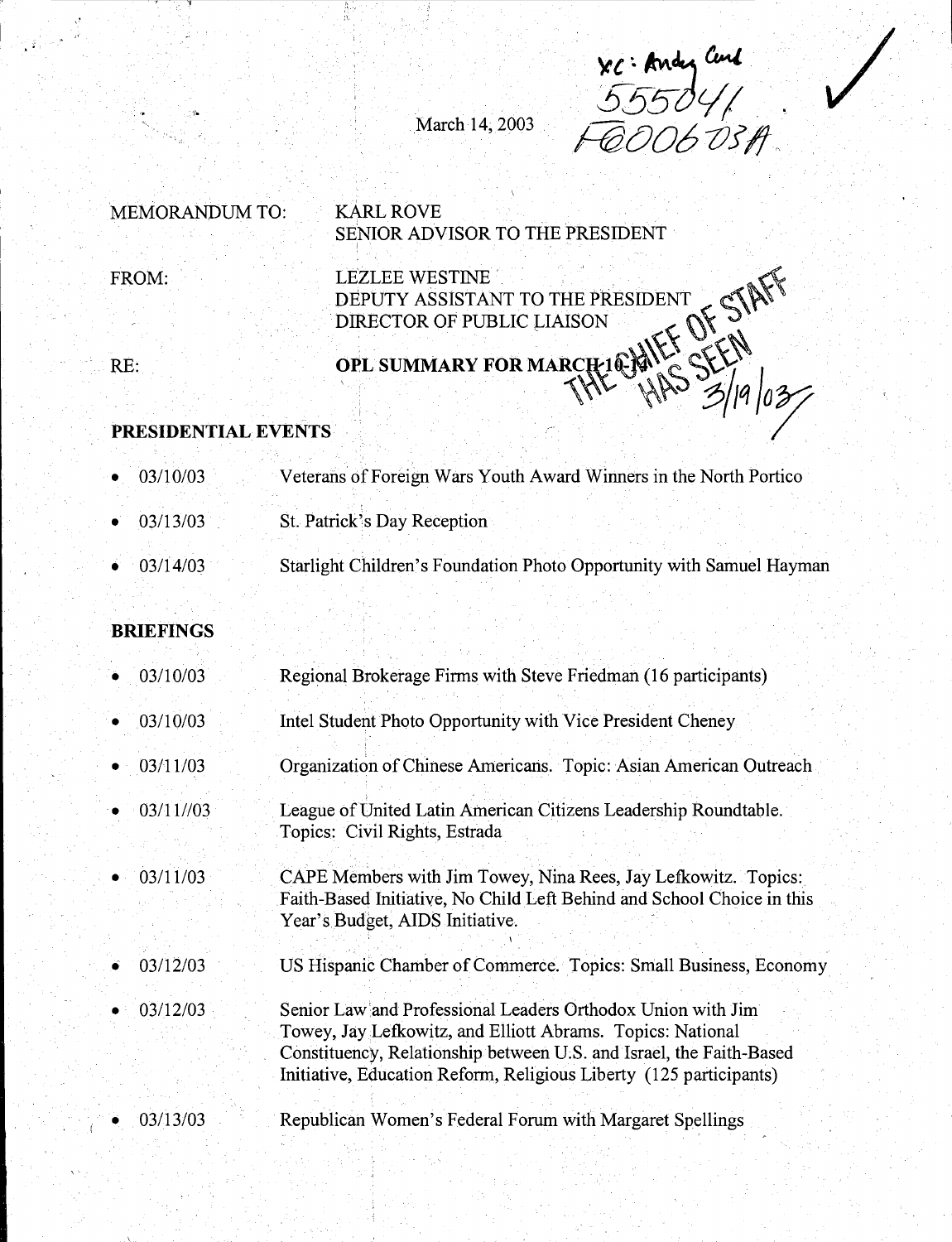xc. Andy Curl<br>555041<br>COOG OSA

/

March 14, 2003

## MEMORANDUM TO: KARL ROVE FROM: SENIOR ADVISOR TO THE PRESIDENT LEZLEE WESTINE **WE STILL A LIKE**

DEPUTY ASSISTANT TO THE PRESIDENT CHAPPERT OF PUBLIC LIAISON

RE:

'.-..

 $\alpha$ Plant Lor married  $\alpha$  if  $\alpha$   $\alpha$   $\alpha$  $\frac{1}{10^{2}}$   $\frac{1}{10^{2}}$ 

#### **PRESIDENTIAL EVENTS**

 $\mathbb{E}$  ).

- 03/10/03 Veterans of Foreign Wars Youth Award Winners in the North Portico
- 03/13/03 St. Patrick's Day Reception
- 03/14/03 Starlight Children's Foundation Photo Opportunity with Samuel Hayman

#### **BRIEFINGS**

- 03/10/03 Regional Brokerage Firms with Steve Friedman (16 participants)
- 03/10/03 Intel Student Photo Opportunity with Vice President Cheney
- 03/11/03 Organization of Chinese Americans. Topic: Asian American Outreach
- 03/11//03 League of United Latin American Citizens Leadership Roundtable. Topics: Civil Rights, Estrada
- 03/11/03 CAPE Members with Jim Towey, Nina Rees, Jay Lefkowitz. Topics: Faith-Baseq Initiative, No Child Left Behind and School Choice in this Year's Budget, AIDS Initiative.
- 03/12/03 US Hispanic Chamber of Commerce. Topics: Small Business, Economy
- 03/12/03 Senior Law 'and Professional Leaders Orthodox Union with Jim Towey, Jay Lefkowitz, and Elliott Abrams. Topics: National Constituency, Relationship between U.S. and Israel, the Faith-Based Initiative, Education Reform, Religious Liberty (125 participants)
- 03/13/03 Republican Women's Federal Forum with Margaret Spellings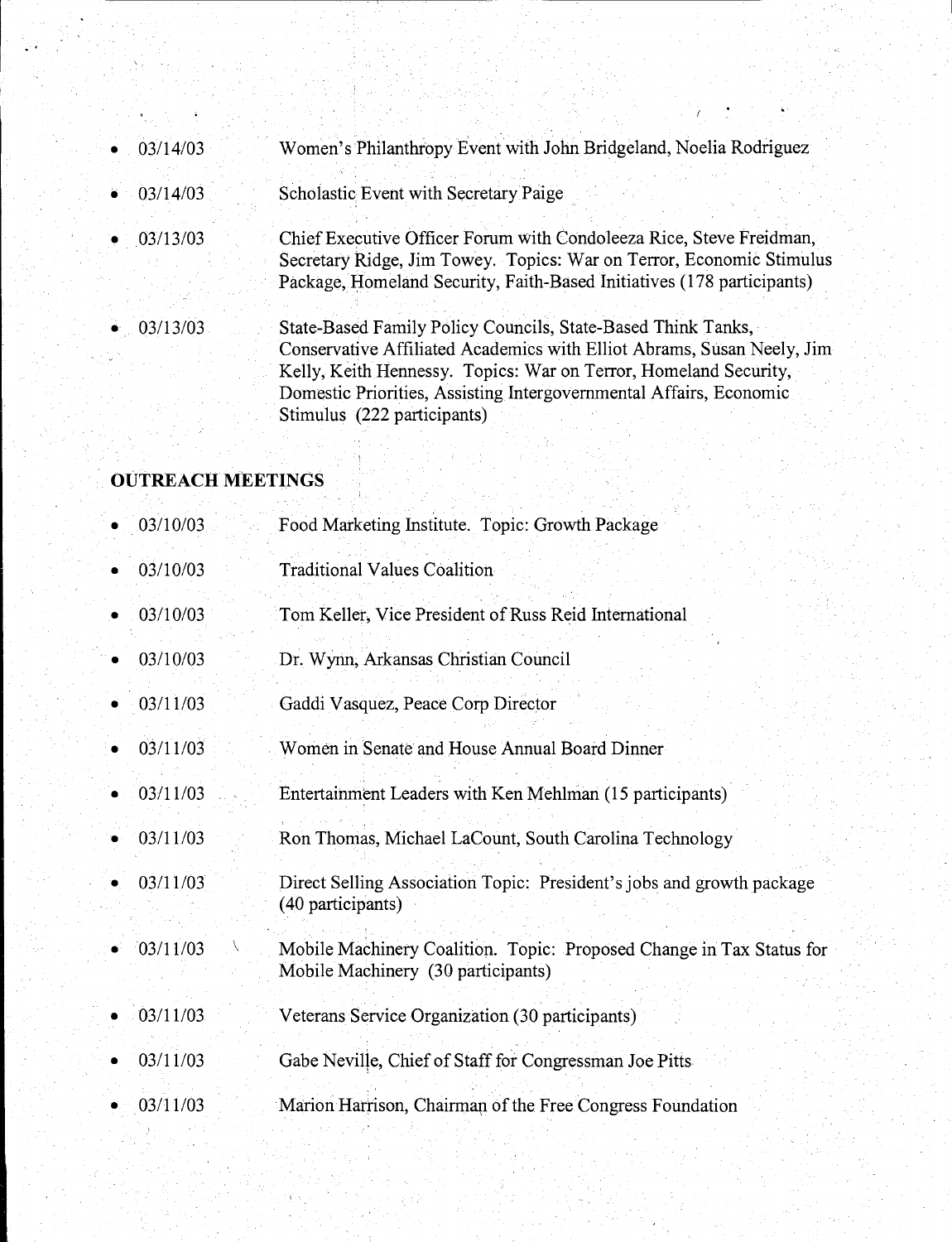| $\bullet$ 03/14/03 | Women's Philanthropy Event with John Bridgeland, Noelia Rodriguez                                                                                                                                                                                                                                               |
|--------------------|-----------------------------------------------------------------------------------------------------------------------------------------------------------------------------------------------------------------------------------------------------------------------------------------------------------------|
| $\bullet$ 03/14/03 | Scholastic Event with Secretary Paige                                                                                                                                                                                                                                                                           |
| 03/13/03           | Chief Executive Officer Forum with Condoleeza Rice, Steve Freidman,<br>Secretary Ridge, Jim Towey. Topics: War on Terror, Economic Stimulus<br>Package, Homeland Security, Faith-Based Initiatives (178 participants)                                                                                           |
| 03/13/03           | State-Based Family Policy Councils, State-Based Think Tanks,<br>Conservative Affiliated Academics with Elliot Abrams, Susan Neely, Jim<br>Kelly, Keith Hennessy. Topics: War on Terror, Homeland Security,<br>Domestic Priorities, Assisting Intergovernmental Affairs, Economic<br>Stimulus (222 participants) |

## **OUTREACH MEETINGS**

| 03/10/03 |  |                                                 |  |  |
|----------|--|-------------------------------------------------|--|--|
|          |  | Food Marketing Institute. Topic: Growth Package |  |  |
|          |  |                                                 |  |  |

- 03/10/03 Traditional Values Coalition
- 03/10/03 Tom Keller, Vice President of Russ Reid International
- 03/10/03 Dr. Wynn, Arkansas Christian Council
- 03/11/03 Gaddi Vasquez, Peace Corp Director
- 03/11/03 Women in Senate and House Annual Board Dinner
- 03/11/03 Entertaihment Leaders with Ken Mehlman (15 participants)
- 03/11/03 Ron Thomas, Michael LaCount, South Carolina Technology
- 03/11/03 Direct Selling Association Topic: President's jobs and growth package ( 40 participants)
- $-03/11/03$ Mobile Machinery Coalition. Topic: Proposed Change in Tax Status for Mobile Machinery (30 participants)
- 03/11/03 Veterans Service Organization (30 participants)
- 03/11/03 Gabe Neville, Chief of Staff for Congressman Joe Pitts
- 03/11/03 Marion Harrison, Chairman of the Free Congress Foundation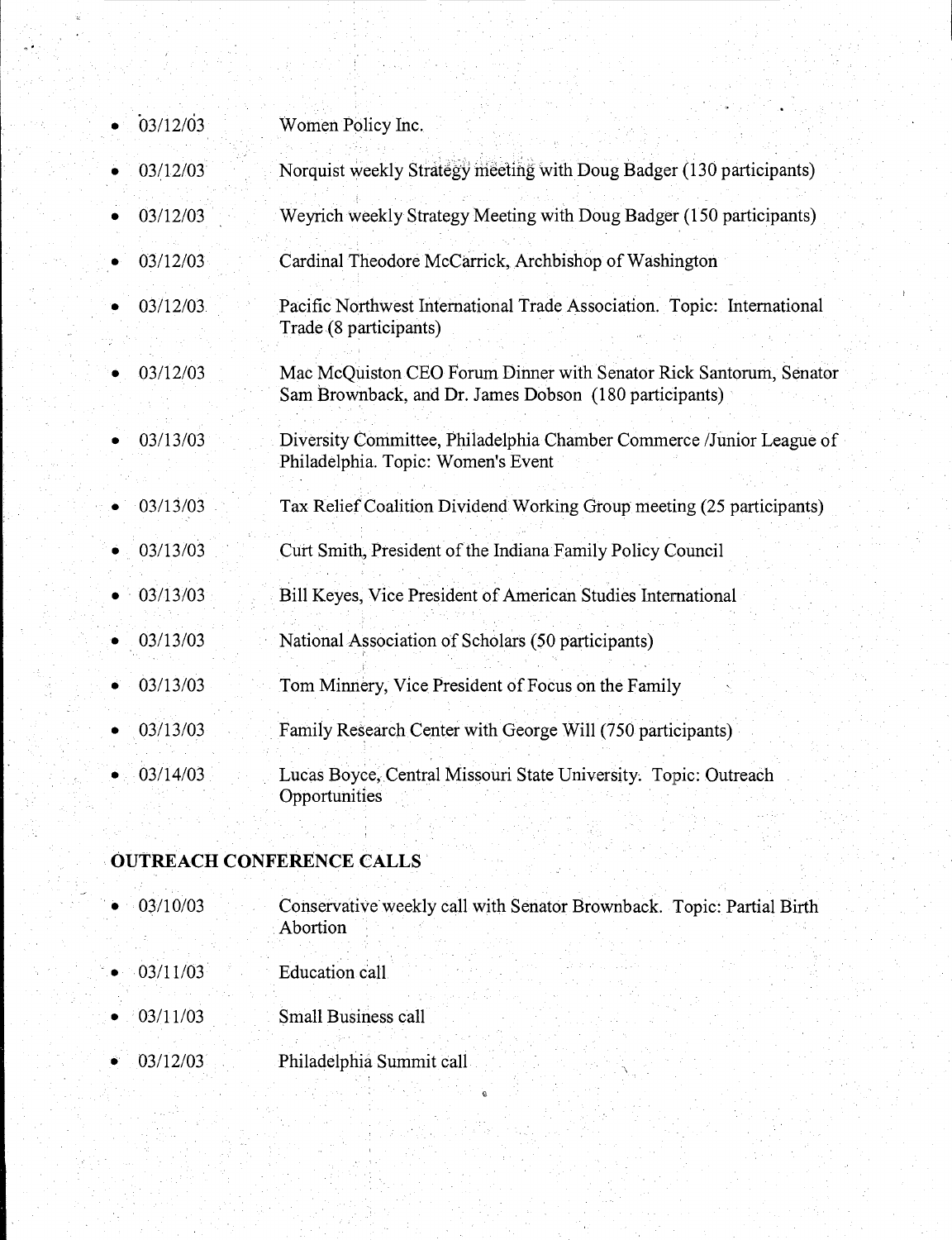| 03/12/03 | Women Policy Inc.                                                                                                            |
|----------|------------------------------------------------------------------------------------------------------------------------------|
| 03/12/03 | Norquist weekly Strategy meeting with Doug Badger (130 participants)                                                         |
| 03/12/03 | Weyrich weekly Strategy Meeting with Doug Badger (150 participants)                                                          |
| 03/12/03 | Cardinal Theodore McCarrick, Archbishop of Washington                                                                        |
| 03/12/03 | Pacific Northwest International Trade Association. Topic: International<br>Trade (8 participants)                            |
| 03/12/03 | Mac McQuiston CEO Forum Dinner with Senator Rick Santorum, Senator<br>Sam Brownback, and Dr. James Dobson (180 participants) |
| 03/13/03 | Diversity Committee, Philadelphia Chamber Commerce /Junior League of<br>Philadelphia. Topic: Women's Event                   |
| 03/13/03 | Tax Relief Coalition Dividend Working Group meeting (25 participants)                                                        |
| 03/13/03 | Curt Smith, President of the Indiana Family Policy Council                                                                   |
| 03/13/03 | Bill Keyes, Vice President of American Studies International                                                                 |
| 03/13/03 | National Association of Scholars (50 participants)                                                                           |
| 03/13/03 | Tom Minnery, Vice President of Focus on the Family                                                                           |
| 03/13/03 | Family Research Center with George Will (750 participants)                                                                   |
| 03/14/03 | Lucas Boyce, Central Missouri State University. Topic: Outreach<br>Opportunities                                             |

## **OUTREACH CONFERENCE CALLS**

- . 03/10/03 Conservative weekly call with Senator Brownback. Topic: Partial Birth Abortion
- $03/11/03$ Education call
- 03/11/03 Small Business call
- 03/12/03 Philadelphia Summit cali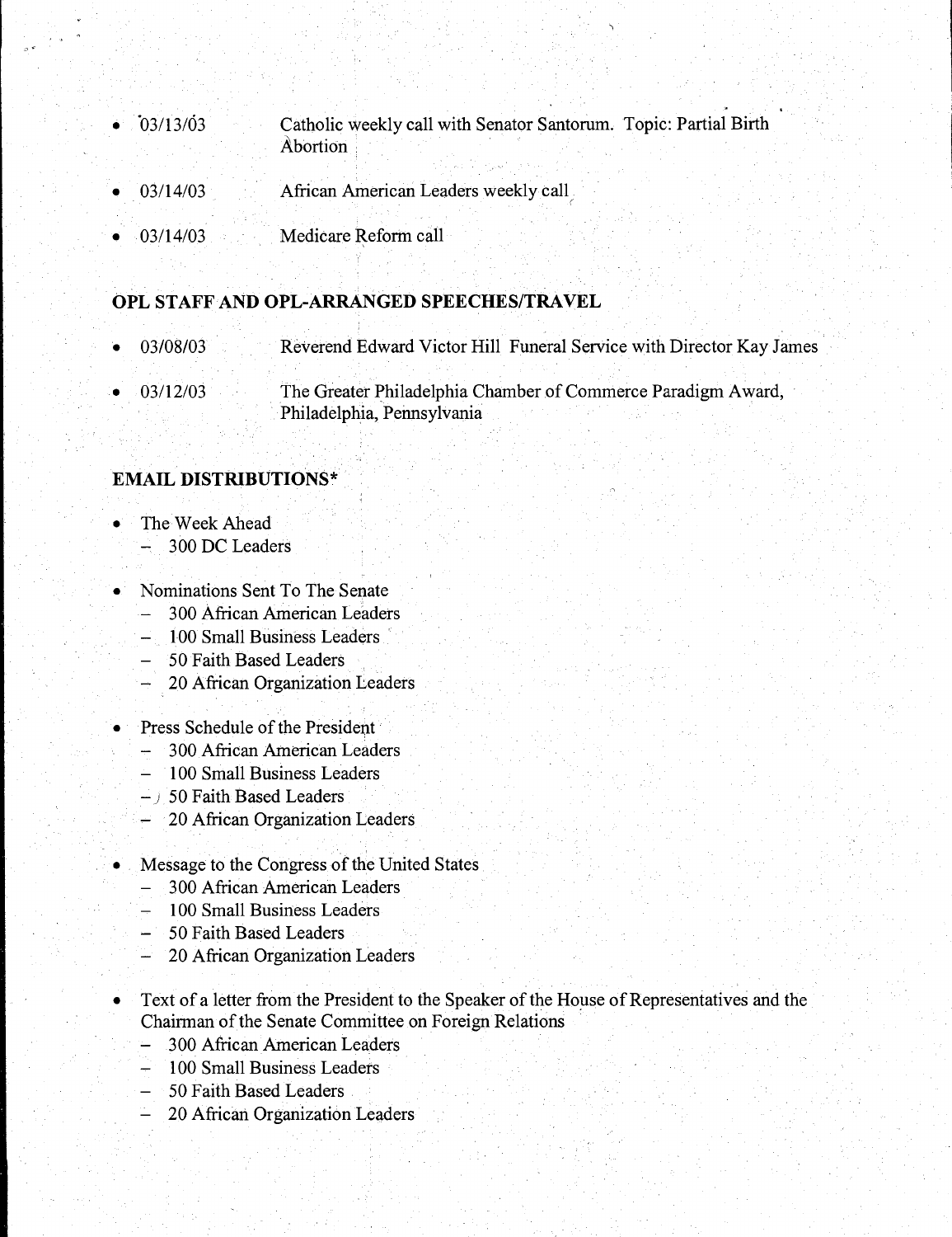- 0 03/13/03 Catholic weekly call with Senator Santorum. Topic: Partial Birth Abortion.
- 03/14/03 African American Leaders weekly call,
- 03/14/03 Medicare Reform call '

#### **OPL STAFF AND OPL-ARRANGED SPEECHES/TRAVEL**

- 03/08/03 Reverend Edward Victor Hill Funeral Service with Director Kay James
- 03/12/03 The Greater Philadelphia Chamber of Commerce Paradigm Award, Philadelphia, Pennsylvania

#### **EMAIL DISTRIBUTIONS\***

- The Week Ahead
	- 300 DC Leaders
- Nominations Sent To The Senate
	- 300 African American Leaders
	- 100 Small Business Leaders
	- 50 Faith Based Leaders
	- 20 African Organization Leaders
	- Press Schedule of the President
	- 300 African American Leaders
	- 100 Small Business Leaders
	- *)* 50 Faith Based Leaders
	- 20 African Organization Leaders
- Message to the Congress of the United States
	- 300 African American Leaders
	- 100 Small Business Leaders
	- 50 Faith Based Leaders
	- 20 African Organization Leaders
	- Text of a letter from the President to the Speaker of the House of Representatives and the Chairman of the Senate Committee on Foreign Relations
	- 300 African American Leaders
	- 100 Small Business Leaders
	- 50 Faith Based Leaders
	- 20 African Organization Leaders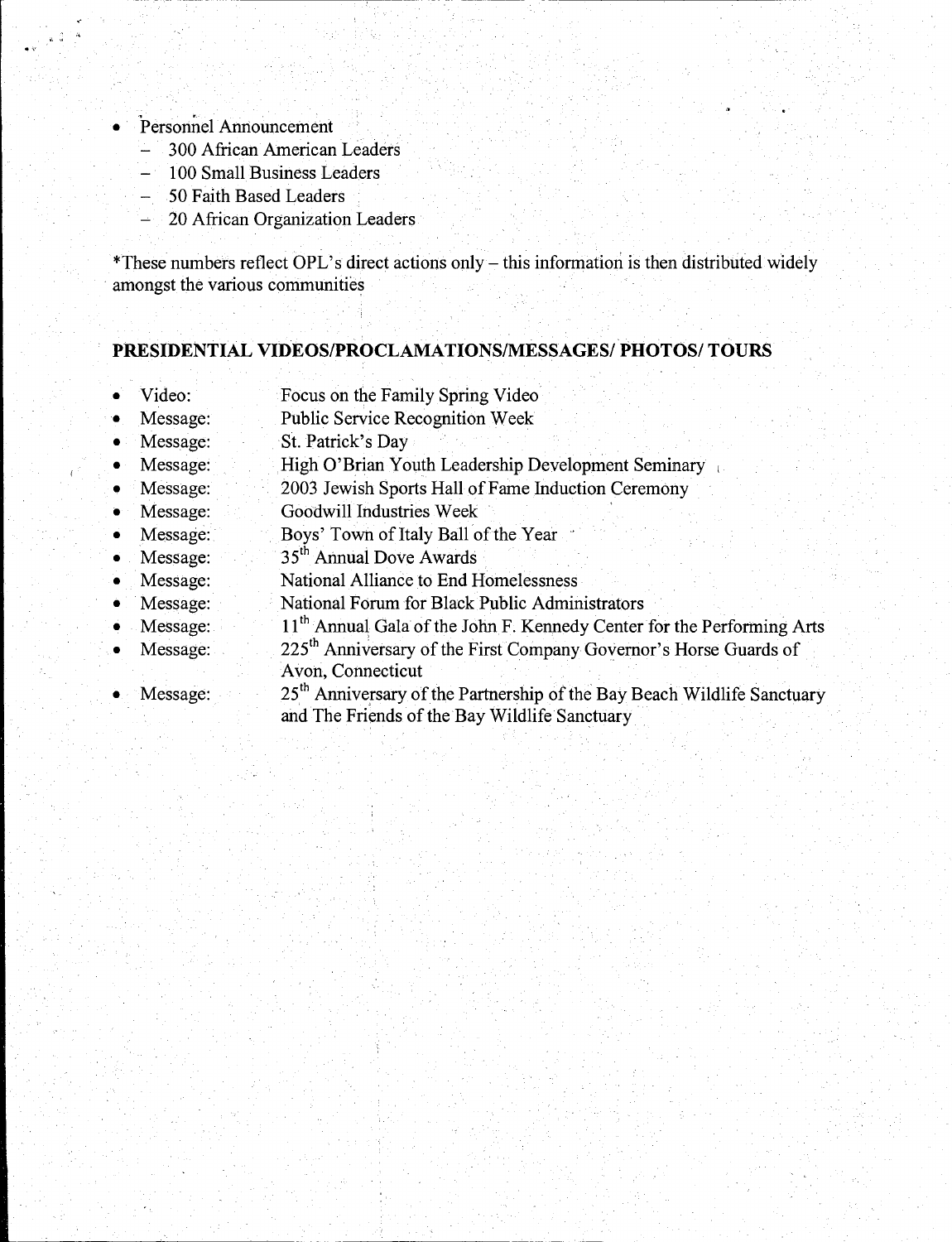- Personnel Announcement
	- 300 African American Leaders
	- 100 Small Business Leaders
	- 50 Faith Based Leaders
	- 20 African Organization Leaders

\*These numbers reflect OPL's direct actions only- this information is then distributed widely amongst the various communities

#### **PRESIDENTIAL VIDEOS/PROCLAMATIONS/MESSAGES/ PHOTOS/ TOURS**

- Video: Focus on the Family Spring Video
- Message: Public Service Recognition Week
- Message: St. Patrick's Day
- Message: High O'Brian Youth Leadership Development Seminary
- Message: 2003 Jewish Sports Hall of Fame Induction Ceremony
- Message: Goodwill Industries Week
- Message: Boys' Town of Italy Ball of the Year ·
- Message: 35th Annual Dove Awards
- Message: National Alliance to End Homelessness
- Message: National Forum for Black Public Administrators
- Message: 11<sup>th</sup> Annual Gala of the John F. Kennedy Center for the Performing Arts
- Message: 225<sup>th</sup> Anniversary of the First Company Governor's Horse Guards of Avon, Connecticut
- Message: 25<sup>th</sup> Anniversary of the Partnership of the Bay Beach Wildlife Sanctuary and The Friends of the Bay Wildlife Sanctuary